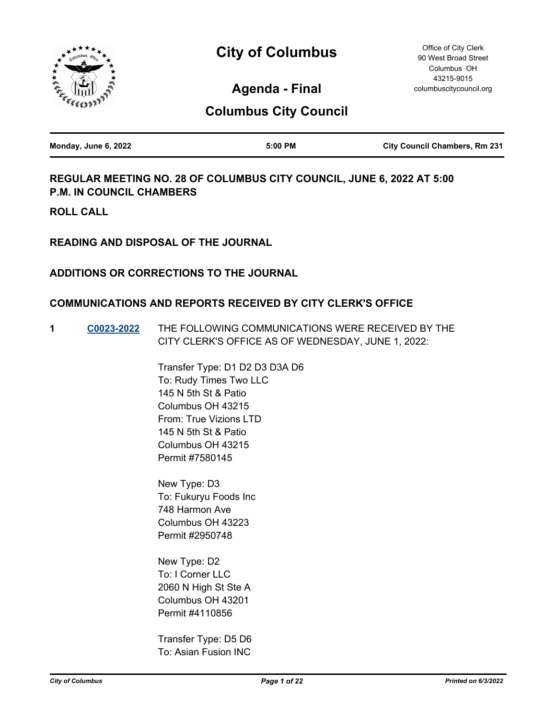



90 West Broad Street Columbus OH 43215-9015 columbuscitycouncil.org

Office of City Clerk

**Agenda - Final**

# **Columbus City Council**

| Monday, June 6, 2022 | 5:00 PM | <b>City Council Chambers, Rm 231</b> |
|----------------------|---------|--------------------------------------|
|                      |         |                                      |

# **REGULAR MEETING NO. 28 OF COLUMBUS CITY COUNCIL, JUNE 6, 2022 AT 5:00 P.M. IN COUNCIL CHAMBERS**

**ROLL CALL**

**READING AND DISPOSAL OF THE JOURNAL**

### **ADDITIONS OR CORRECTIONS TO THE JOURNAL**

### **COMMUNICATIONS AND REPORTS RECEIVED BY CITY CLERK'S OFFICE**

**1 [C0023-2022](http://columbus.legistar.com/gateway.aspx?m=l&id=/matter.aspx?key=123152)** THE FOLLOWING COMMUNICATIONS WERE RECEIVED BY THE CITY CLERK'S OFFICE AS OF WEDNESDAY, JUNE 1, 2022:

> Transfer Type: D1 D2 D3 D3A D6 To: Rudy Times Two LLC 145 N 5th St & Patio Columbus OH 43215 From: True Vizions LTD 145 N 5th St & Patio Columbus OH 43215 Permit #7580145

New Type: D3 To: Fukuryu Foods Inc 748 Harmon Ave Columbus OH 43223 Permit #2950748

New Type: D2 To: I Corner LLC 2060 N High St Ste A Columbus OH 43201 Permit #4110856

Transfer Type: D5 D6 To: Asian Fusion INC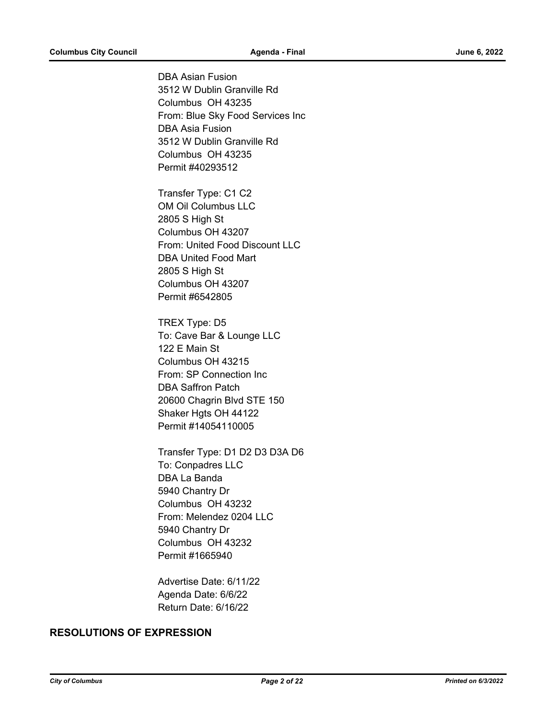DBA Asian Fusion 3512 W Dublin Granville Rd Columbus OH 43235 From: Blue Sky Food Services Inc DBA Asia Fusion 3512 W Dublin Granville Rd Columbus OH 43235 Permit #40293512

Transfer Type: C1 C2 OM Oil Columbus LLC 2805 S High St Columbus OH 43207 From: United Food Discount LLC DBA United Food Mart 2805 S High St Columbus OH 43207 Permit #6542805

TREX Type: D5 To: Cave Bar & Lounge LLC 122 E Main St Columbus OH 43215 From: SP Connection Inc DBA Saffron Patch 20600 Chagrin Blvd STE 150 Shaker Hgts OH 44122 Permit #14054110005

Transfer Type: D1 D2 D3 D3A D6 To: Conpadres LLC DBA La Banda 5940 Chantry Dr Columbus OH 43232 From: Melendez 0204 LLC 5940 Chantry Dr Columbus OH 43232 Permit #1665940

Advertise Date: 6/11/22 Agenda Date: 6/6/22 Return Date: 6/16/22

### **RESOLUTIONS OF EXPRESSION**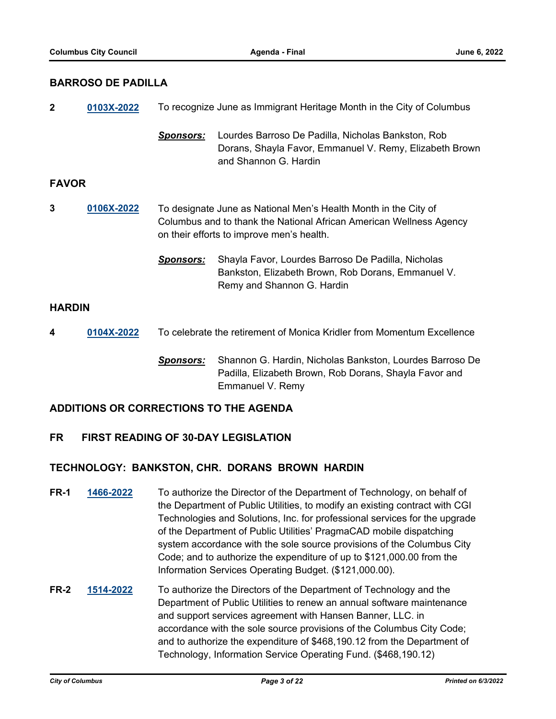### **BARROSO DE PADILLA**

| $\overline{2}$ | 0103X-2022 | To recognize June as Immigrant Heritage Month in the City of Columbus                                                                                                               |                                                                                                                                        |  |
|----------------|------------|-------------------------------------------------------------------------------------------------------------------------------------------------------------------------------------|----------------------------------------------------------------------------------------------------------------------------------------|--|
|                |            | <b>Sponsors:</b>                                                                                                                                                                    | Lourdes Barroso De Padilla, Nicholas Bankston, Rob<br>Dorans, Shayla Favor, Emmanuel V. Remy, Elizabeth Brown<br>and Shannon G. Hardin |  |
| <b>FAVOR</b>   |            |                                                                                                                                                                                     |                                                                                                                                        |  |
| 3              | 0106X-2022 | To designate June as National Men's Health Month in the City of<br>Columbus and to thank the National African American Wellness Agency<br>on their efforts to improve men's health. |                                                                                                                                        |  |
|                |            | <b>Sponsors:</b>                                                                                                                                                                    | Shayla Favor, Lourdes Barroso De Padilla, Nicholas<br>Bankston, Elizabeth Brown, Rob Dorans, Emmanuel V.<br>Remy and Shannon G. Hardin |  |
| <b>HARDIN</b>  |            |                                                                                                                                                                                     |                                                                                                                                        |  |
| 4              | 0104X-2022 | To celebrate the retirement of Monica Kridler from Momentum Excellence                                                                                                              |                                                                                                                                        |  |
|                |            | <b>Sponsors:</b>                                                                                                                                                                    | Shannon G. Hardin, Nicholas Bankston, Lourdes Barroso De<br>Padilla, Elizabeth Brown, Rob Dorans, Shayla Favor and                     |  |

### **ADDITIONS OR CORRECTIONS TO THE AGENDA**

### **FR FIRST READING OF 30-DAY LEGISLATION**

### **TECHNOLOGY: BANKSTON, CHR. DORANS BROWN HARDIN**

**FR-1 [1466-2022](http://columbus.legistar.com/gateway.aspx?m=l&id=/matter.aspx?key=122983)** To authorize the Director of the Department of Technology, on behalf of the Department of Public Utilities, to modify an existing contract with CGI Technologies and Solutions, Inc. for professional services for the upgrade of the Department of Public Utilities' PragmaCAD mobile dispatching system accordance with the sole source provisions of the Columbus City Code; and to authorize the expenditure of up to \$121,000.00 from the Information Services Operating Budget. (\$121,000.00).

Emmanuel V. Remy

**FR-2 [1514-2022](http://columbus.legistar.com/gateway.aspx?m=l&id=/matter.aspx?key=123032)** To authorize the Directors of the Department of Technology and the Department of Public Utilities to renew an annual software maintenance and support services agreement with Hansen Banner, LLC. in accordance with the sole source provisions of the Columbus City Code; and to authorize the expenditure of \$468,190.12 from the Department of Technology, Information Service Operating Fund. (\$468,190.12)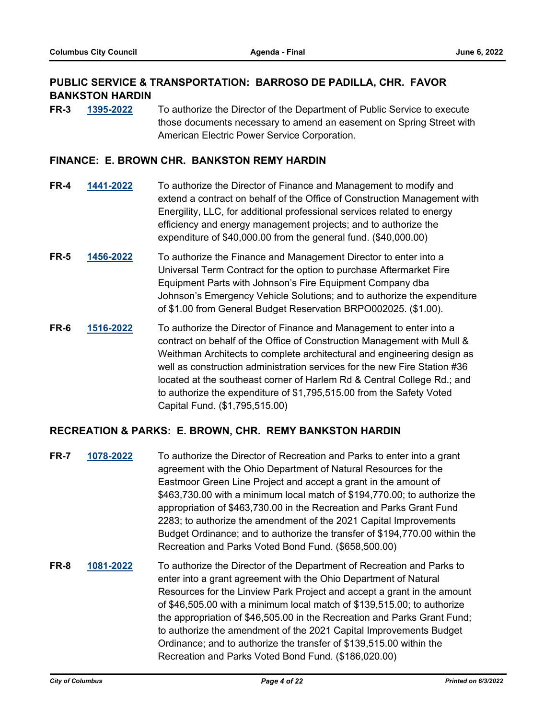# **PUBLIC SERVICE & TRANSPORTATION: BARROSO DE PADILLA, CHR. FAVOR BANKSTON HARDIN**

**FR-3 [1395-2022](http://columbus.legistar.com/gateway.aspx?m=l&id=/matter.aspx?key=122912)** To authorize the Director of the Department of Public Service to execute those documents necessary to amend an easement on Spring Street with American Electric Power Service Corporation.

### **FINANCE: E. BROWN CHR. BANKSTON REMY HARDIN**

- **FR-4 [1441-2022](http://columbus.legistar.com/gateway.aspx?m=l&id=/matter.aspx?key=122958)** To authorize the Director of Finance and Management to modify and extend a contract on behalf of the Office of Construction Management with Energility, LLC, for additional professional services related to energy efficiency and energy management projects; and to authorize the expenditure of \$40,000.00 from the general fund. (\$40,000.00)
- **FR-5 [1456-2022](http://columbus.legistar.com/gateway.aspx?m=l&id=/matter.aspx?key=122973)** To authorize the Finance and Management Director to enter into a Universal Term Contract for the option to purchase Aftermarket Fire Equipment Parts with Johnson's Fire Equipment Company dba Johnson's Emergency Vehicle Solutions; and to authorize the expenditure of \$1.00 from General Budget Reservation BRPO002025. (\$1.00).
- **FR-6 [1516-2022](http://columbus.legistar.com/gateway.aspx?m=l&id=/matter.aspx?key=123034)** To authorize the Director of Finance and Management to enter into a contract on behalf of the Office of Construction Management with Mull & Weithman Architects to complete architectural and engineering design as well as construction administration services for the new Fire Station #36 located at the southeast corner of Harlem Rd & Central College Rd.; and to authorize the expenditure of \$1,795,515.00 from the Safety Voted Capital Fund. (\$1,795,515.00)

### **RECREATION & PARKS: E. BROWN, CHR. REMY BANKSTON HARDIN**

- **FR-7 [1078-2022](http://columbus.legistar.com/gateway.aspx?m=l&id=/matter.aspx?key=122592)** To authorize the Director of Recreation and Parks to enter into a grant agreement with the Ohio Department of Natural Resources for the Eastmoor Green Line Project and accept a grant in the amount of \$463,730.00 with a minimum local match of \$194,770.00; to authorize the appropriation of \$463,730.00 in the Recreation and Parks Grant Fund 2283; to authorize the amendment of the 2021 Capital Improvements Budget Ordinance; and to authorize the transfer of \$194,770.00 within the Recreation and Parks Voted Bond Fund. (\$658,500.00)
- **FR-8 [1081-2022](http://columbus.legistar.com/gateway.aspx?m=l&id=/matter.aspx?key=122595)** To authorize the Director of the Department of Recreation and Parks to enter into a grant agreement with the Ohio Department of Natural Resources for the Linview Park Project and accept a grant in the amount of \$46,505.00 with a minimum local match of \$139,515.00; to authorize the appropriation of \$46,505.00 in the Recreation and Parks Grant Fund; to authorize the amendment of the 2021 Capital Improvements Budget Ordinance; and to authorize the transfer of \$139,515.00 within the Recreation and Parks Voted Bond Fund. (\$186,020.00)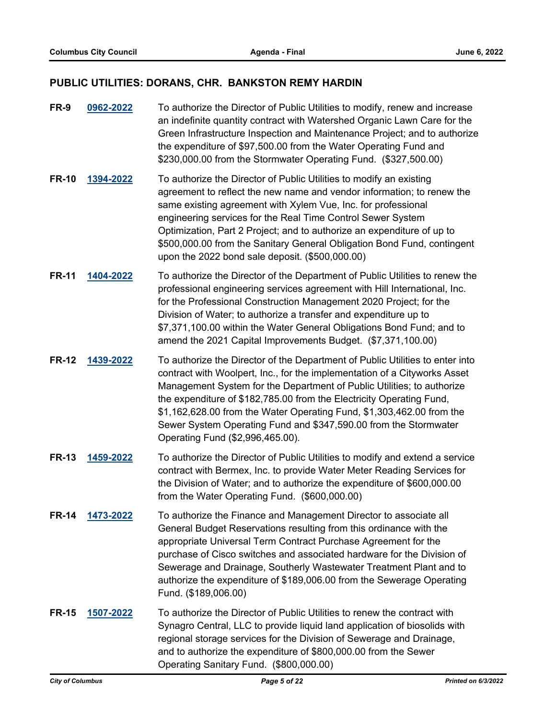# **PUBLIC UTILITIES: DORANS, CHR. BANKSTON REMY HARDIN**

| <b>FR-9</b>  | 0962-2022 | To authorize the Director of Public Utilities to modify, renew and increase<br>an indefinite quantity contract with Watershed Organic Lawn Care for the<br>Green Infrastructure Inspection and Maintenance Project; and to authorize<br>the expenditure of \$97,500.00 from the Water Operating Fund and<br>\$230,000.00 from the Stormwater Operating Fund. (\$327,500.00)                                                                                                                   |
|--------------|-----------|-----------------------------------------------------------------------------------------------------------------------------------------------------------------------------------------------------------------------------------------------------------------------------------------------------------------------------------------------------------------------------------------------------------------------------------------------------------------------------------------------|
| <b>FR-10</b> | 1394-2022 | To authorize the Director of Public Utilities to modify an existing<br>agreement to reflect the new name and vendor information; to renew the<br>same existing agreement with Xylem Vue, Inc. for professional<br>engineering services for the Real Time Control Sewer System<br>Optimization, Part 2 Project; and to authorize an expenditure of up to<br>\$500,000.00 from the Sanitary General Obligation Bond Fund, contingent<br>upon the 2022 bond sale deposit. (\$500,000.00)         |
| <b>FR-11</b> | 1404-2022 | To authorize the Director of the Department of Public Utilities to renew the<br>professional engineering services agreement with Hill International, Inc.<br>for the Professional Construction Management 2020 Project; for the<br>Division of Water; to authorize a transfer and expenditure up to<br>\$7,371,100.00 within the Water General Obligations Bond Fund; and to<br>amend the 2021 Capital Improvements Budget. (\$7,371,100.00)                                                  |
| <b>FR-12</b> | 1439-2022 | To authorize the Director of the Department of Public Utilities to enter into<br>contract with Woolpert, Inc., for the implementation of a Cityworks Asset<br>Management System for the Department of Public Utilities; to authorize<br>the expenditure of \$182,785.00 from the Electricity Operating Fund,<br>\$1,162,628.00 from the Water Operating Fund, \$1,303,462.00 from the<br>Sewer System Operating Fund and \$347,590.00 from the Stormwater<br>Operating Fund (\$2,996,465.00). |
| <b>FR-13</b> | 1459-2022 | To authorize the Director of Public Utilities to modify and extend a service<br>contract with Bermex, Inc. to provide Water Meter Reading Services for<br>the Division of Water; and to authorize the expenditure of \$600,000.00<br>from the Water Operating Fund. (\$600,000.00)                                                                                                                                                                                                            |
| <b>FR-14</b> | 1473-2022 | To authorize the Finance and Management Director to associate all<br>General Budget Reservations resulting from this ordinance with the<br>appropriate Universal Term Contract Purchase Agreement for the<br>purchase of Cisco switches and associated hardware for the Division of<br>Sewerage and Drainage, Southerly Wastewater Treatment Plant and to<br>authorize the expenditure of \$189,006.00 from the Sewerage Operating<br>Fund. (\$189,006.00)                                    |
| <b>FR-15</b> | 1507-2022 | To authorize the Director of Public Utilities to renew the contract with<br>Synagro Central, LLC to provide liquid land application of biosolids with<br>regional storage services for the Division of Sewerage and Drainage,<br>and to authorize the expenditure of \$800,000.00 from the Sewer<br>Operating Sanitary Fund. (\$800,000.00)                                                                                                                                                   |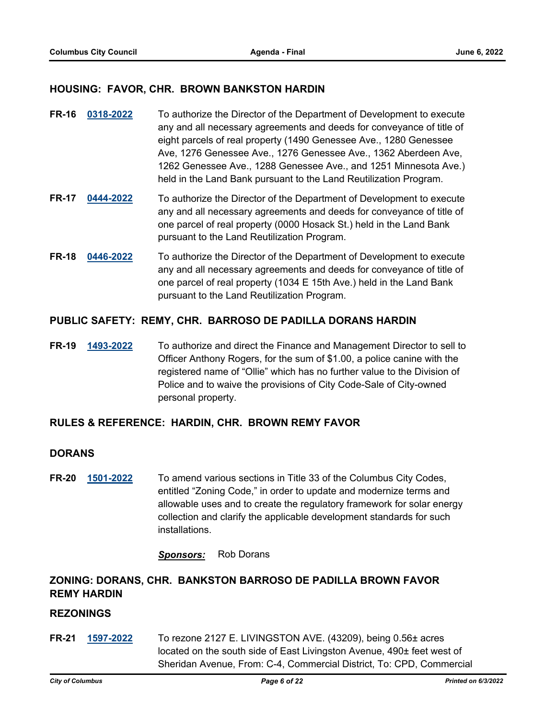### **HOUSING: FAVOR, CHR. BROWN BANKSTON HARDIN**

- **FR-16 [0318-2022](http://columbus.legistar.com/gateway.aspx?m=l&id=/matter.aspx?key=121830)** To authorize the Director of the Department of Development to execute any and all necessary agreements and deeds for conveyance of title of eight parcels of real property (1490 Genessee Ave., 1280 Genessee Ave, 1276 Genessee Ave., 1276 Genessee Ave., 1362 Aberdeen Ave, 1262 Genessee Ave., 1288 Genessee Ave., and 1251 Minnesota Ave.) held in the Land Bank pursuant to the Land Reutilization Program.
- **FR-17 [0444-2022](http://columbus.legistar.com/gateway.aspx?m=l&id=/matter.aspx?key=121956)** To authorize the Director of the Department of Development to execute any and all necessary agreements and deeds for conveyance of title of one parcel of real property (0000 Hosack St.) held in the Land Bank pursuant to the Land Reutilization Program.
- **FR-18 [0446-2022](http://columbus.legistar.com/gateway.aspx?m=l&id=/matter.aspx?key=121958)** To authorize the Director of the Department of Development to execute any and all necessary agreements and deeds for conveyance of title of one parcel of real property (1034 E 15th Ave.) held in the Land Bank pursuant to the Land Reutilization Program.

### **PUBLIC SAFETY: REMY, CHR. BARROSO DE PADILLA DORANS HARDIN**

**FR-19 [1493-2022](http://columbus.legistar.com/gateway.aspx?m=l&id=/matter.aspx?key=123011)** To authorize and direct the Finance and Management Director to sell to Officer Anthony Rogers, for the sum of \$1.00, a police canine with the registered name of "Ollie" which has no further value to the Division of Police and to waive the provisions of City Code-Sale of City-owned personal property.

### **RULES & REFERENCE: HARDIN, CHR. BROWN REMY FAVOR**

#### **DORANS**

**FR-20 [1501-2022](http://columbus.legistar.com/gateway.aspx?m=l&id=/matter.aspx?key=123019)** To amend various sections in Title 33 of the Columbus City Codes, entitled "Zoning Code," in order to update and modernize terms and allowable uses and to create the regulatory framework for solar energy collection and clarify the applicable development standards for such installations.

*Sponsors:* Rob Dorans

# **ZONING: DORANS, CHR. BANKSTON BARROSO DE PADILLA BROWN FAVOR REMY HARDIN**

### **REZONINGS**

**FR-21 [1597-2022](http://columbus.legistar.com/gateway.aspx?m=l&id=/matter.aspx?key=123117)** To rezone 2127 E. LIVINGSTON AVE. (43209), being 0.56± acres located on the south side of East Livingston Avenue, 490± feet west of Sheridan Avenue, From: C-4, Commercial District, To: CPD, Commercial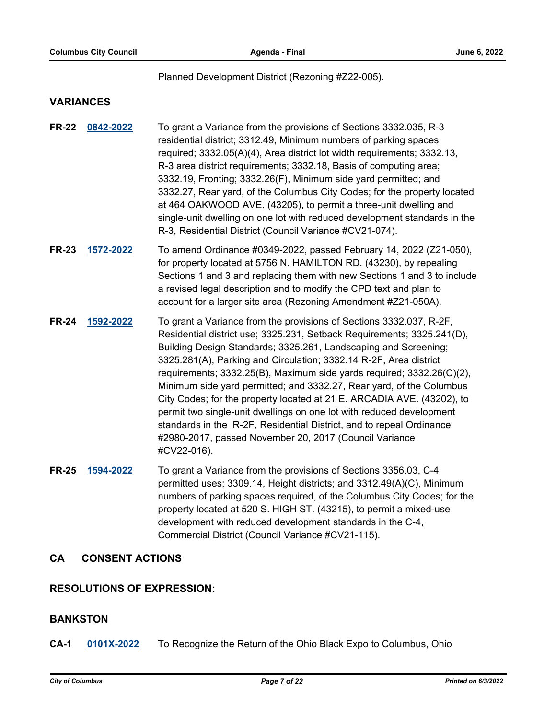#### Planned Development District (Rezoning #Z22-005).

### **VARIANCES**

- **FR-22 [0842-2022](http://columbus.legistar.com/gateway.aspx?m=l&id=/matter.aspx?key=122354)** To grant a Variance from the provisions of Sections 3332.035, R-3 residential district; 3312.49, Minimum numbers of parking spaces required; 3332.05(A)(4), Area district lot width requirements; 3332.13, R-3 area district requirements; 3332.18, Basis of computing area; 3332.19, Fronting; 3332.26(F), Minimum side yard permitted; and 3332.27, Rear yard, of the Columbus City Codes; for the property located at 464 OAKWOOD AVE. (43205), to permit a three-unit dwelling and single-unit dwelling on one lot with reduced development standards in the R-3, Residential District (Council Variance #CV21-074).
- **FR-23 [1572-2022](http://columbus.legistar.com/gateway.aspx?m=l&id=/matter.aspx?key=123090)** To amend Ordinance #0349-2022, passed February 14, 2022 (Z21-050), for property located at 5756 N. HAMILTON RD. (43230), by repealing Sections 1 and 3 and replacing them with new Sections 1 and 3 to include a revised legal description and to modify the CPD text and plan to account for a larger site area (Rezoning Amendment #Z21-050A).
- **FR-24 [1592-2022](http://columbus.legistar.com/gateway.aspx?m=l&id=/matter.aspx?key=123112)** To grant a Variance from the provisions of Sections 3332.037, R-2F, Residential district use; 3325.231, Setback Requirements; 3325.241(D), Building Design Standards; 3325.261, Landscaping and Screening; 3325.281(A), Parking and Circulation; 3332.14 R-2F, Area district requirements; 3332.25(B), Maximum side yards required; 3332.26(C)(2), Minimum side yard permitted; and 3332.27, Rear yard, of the Columbus City Codes; for the property located at 21 E. ARCADIA AVE. (43202), to permit two single-unit dwellings on one lot with reduced development standards in the R-2F, Residential District, and to repeal Ordinance #2980-2017, passed November 20, 2017 (Council Variance #CV22-016).
- **FR-25 [1594-2022](http://columbus.legistar.com/gateway.aspx?m=l&id=/matter.aspx?key=123114)** To grant a Variance from the provisions of Sections 3356.03, C-4 permitted uses; 3309.14, Height districts; and 3312.49(A)(C), Minimum numbers of parking spaces required, of the Columbus City Codes; for the property located at 520 S. HIGH ST. (43215), to permit a mixed-use development with reduced development standards in the C-4, Commercial District (Council Variance #CV21-115).

### **CA CONSENT ACTIONS**

### **RESOLUTIONS OF EXPRESSION:**

### **BANKSTON**

**CA-1 [0101X-2022](http://columbus.legistar.com/gateway.aspx?m=l&id=/matter.aspx?key=123129)** To Recognize the Return of the Ohio Black Expo to Columbus, Ohio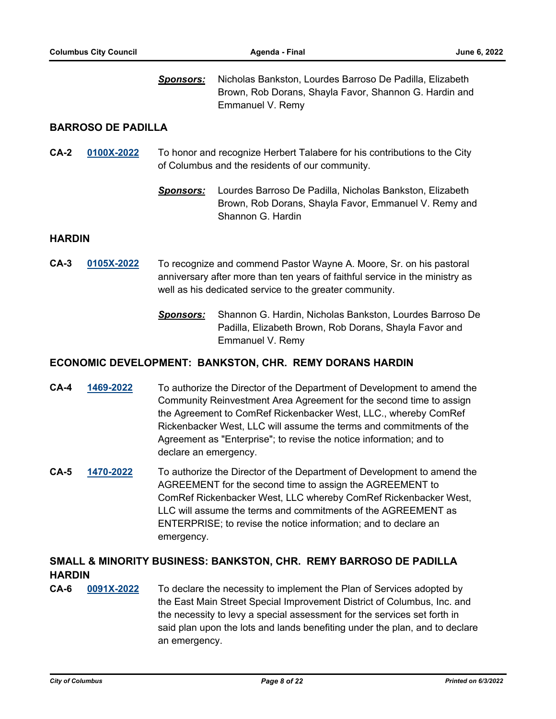*Sponsors:* Nicholas Bankston, Lourdes Barroso De Padilla, Elizabeth Brown, Rob Dorans, Shayla Favor, Shannon G. Hardin and Emmanuel V. Remy

### **BARROSO DE PADILLA**

- **CA-2 [0100X-2022](http://columbus.legistar.com/gateway.aspx?m=l&id=/matter.aspx?key=123124)** To honor and recognize Herbert Talabere for his contributions to the City of Columbus and the residents of our community.
	- *Sponsors:* Lourdes Barroso De Padilla, Nicholas Bankston, Elizabeth Brown, Rob Dorans, Shayla Favor, Emmanuel V. Remy and Shannon G. Hardin

#### **HARDIN**

- **CA-3 [0105X-2022](http://columbus.legistar.com/gateway.aspx?m=l&id=/matter.aspx?key=123166)** To recognize and commend Pastor Wayne A. Moore, Sr. on his pastoral anniversary after more than ten years of faithful service in the ministry as well as his dedicated service to the greater community.
	- *Sponsors:* Shannon G. Hardin, Nicholas Bankston, Lourdes Barroso De Padilla, Elizabeth Brown, Rob Dorans, Shayla Favor and Emmanuel V. Remy

### **ECONOMIC DEVELOPMENT: BANKSTON, CHR. REMY DORANS HARDIN**

- **CA-4 [1469-2022](http://columbus.legistar.com/gateway.aspx?m=l&id=/matter.aspx?key=122986)** To authorize the Director of the Department of Development to amend the Community Reinvestment Area Agreement for the second time to assign the Agreement to ComRef Rickenbacker West, LLC., whereby ComRef Rickenbacker West, LLC will assume the terms and commitments of the Agreement as "Enterprise"; to revise the notice information; and to declare an emergency.
- **CA-5 [1470-2022](http://columbus.legistar.com/gateway.aspx?m=l&id=/matter.aspx?key=122987)** To authorize the Director of the Department of Development to amend the AGREEMENT for the second time to assign the AGREEMENT to ComRef Rickenbacker West, LLC whereby ComRef Rickenbacker West, LLC will assume the terms and commitments of the AGREEMENT as ENTERPRISE; to revise the notice information; and to declare an emergency.

# **SMALL & MINORITY BUSINESS: BANKSTON, CHR. REMY BARROSO DE PADILLA HARDIN**

**CA-6 [0091X-2022](http://columbus.legistar.com/gateway.aspx?m=l&id=/matter.aspx?key=122995)** To declare the necessity to implement the Plan of Services adopted by the East Main Street Special Improvement District of Columbus, Inc. and the necessity to levy a special assessment for the services set forth in said plan upon the lots and lands benefiting under the plan, and to declare an emergency.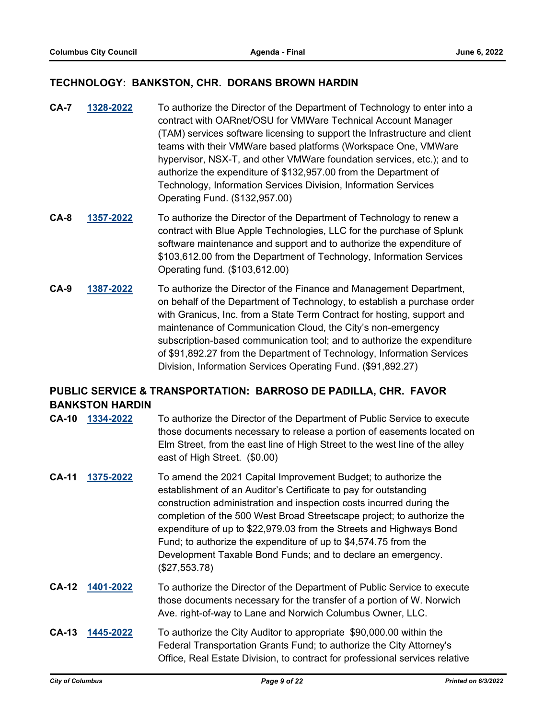### **TECHNOLOGY: BANKSTON, CHR. DORANS BROWN HARDIN**

- **CA-7 [1328-2022](http://columbus.legistar.com/gateway.aspx?m=l&id=/matter.aspx?key=122844)** To authorize the Director of the Department of Technology to enter into a contract with OARnet/OSU for VMWare Technical Account Manager (TAM) services software licensing to support the Infrastructure and client teams with their VMWare based platforms (Workspace One, VMWare hypervisor, NSX-T, and other VMWare foundation services, etc.); and to authorize the expenditure of \$132,957.00 from the Department of Technology, Information Services Division, Information Services Operating Fund. (\$132,957.00)
- **CA-8 [1357-2022](http://columbus.legistar.com/gateway.aspx?m=l&id=/matter.aspx?key=122873)** To authorize the Director of the Department of Technology to renew a contract with Blue Apple Technologies, LLC for the purchase of Splunk software maintenance and support and to authorize the expenditure of \$103,612.00 from the Department of Technology, Information Services Operating fund. (\$103,612.00)
- **CA-9 [1387-2022](http://columbus.legistar.com/gateway.aspx?m=l&id=/matter.aspx?key=122904)** To authorize the Director of the Finance and Management Department, on behalf of the Department of Technology, to establish a purchase order with Granicus, Inc. from a State Term Contract for hosting, support and maintenance of Communication Cloud, the City's non-emergency subscription-based communication tool; and to authorize the expenditure of \$91,892.27 from the Department of Technology, Information Services Division, Information Services Operating Fund. (\$91,892.27)

# **PUBLIC SERVICE & TRANSPORTATION: BARROSO DE PADILLA, CHR. FAVOR BANKSTON HARDIN**

- **CA-10 [1334-2022](http://columbus.legistar.com/gateway.aspx?m=l&id=/matter.aspx?key=122850)** To authorize the Director of the Department of Public Service to execute those documents necessary to release a portion of easements located on Elm Street, from the east line of High Street to the west line of the alley east of High Street. (\$0.00)
- **CA-11 [1375-2022](http://columbus.legistar.com/gateway.aspx?m=l&id=/matter.aspx?key=122891)** To amend the 2021 Capital Improvement Budget; to authorize the establishment of an Auditor's Certificate to pay for outstanding construction administration and inspection costs incurred during the completion of the 500 West Broad Streetscape project; to authorize the expenditure of up to \$22,979.03 from the Streets and Highways Bond Fund; to authorize the expenditure of up to \$4,574.75 from the Development Taxable Bond Funds; and to declare an emergency. (\$27,553.78)
- **CA-12 [1401-2022](http://columbus.legistar.com/gateway.aspx?m=l&id=/matter.aspx?key=122918)** To authorize the Director of the Department of Public Service to execute those documents necessary for the transfer of a portion of W. Norwich Ave. right-of-way to Lane and Norwich Columbus Owner, LLC.
- **CA-13 [1445-2022](http://columbus.legistar.com/gateway.aspx?m=l&id=/matter.aspx?key=122962)** To authorize the City Auditor to appropriate \$90,000.00 within the Federal Transportation Grants Fund; to authorize the City Attorney's Office, Real Estate Division, to contract for professional services relative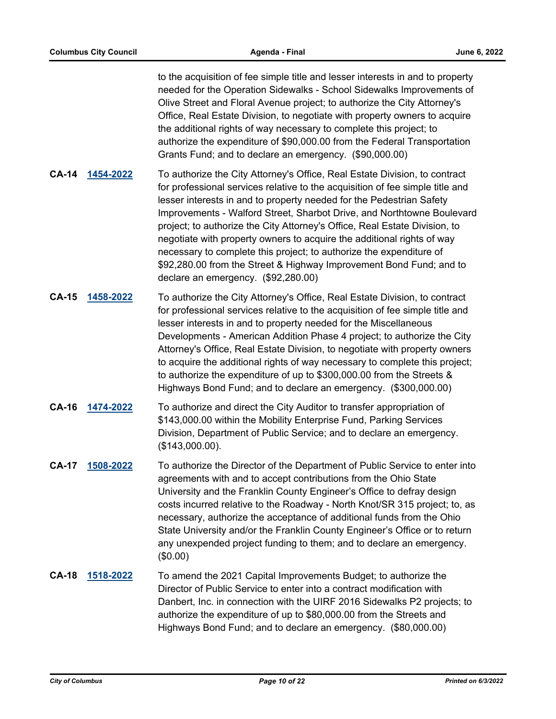to the acquisition of fee simple title and lesser interests in and to property needed for the Operation Sidewalks - School Sidewalks Improvements of Olive Street and Floral Avenue project; to authorize the City Attorney's Office, Real Estate Division, to negotiate with property owners to acquire the additional rights of way necessary to complete this project; to authorize the expenditure of \$90,000.00 from the Federal Transportation Grants Fund; and to declare an emergency. (\$90,000.00)

- **CA-14 [1454-2022](http://columbus.legistar.com/gateway.aspx?m=l&id=/matter.aspx?key=122971)** To authorize the City Attorney's Office, Real Estate Division, to contract for professional services relative to the acquisition of fee simple title and lesser interests in and to property needed for the Pedestrian Safety Improvements - Walford Street, Sharbot Drive, and Northtowne Boulevard project; to authorize the City Attorney's Office, Real Estate Division, to negotiate with property owners to acquire the additional rights of way necessary to complete this project; to authorize the expenditure of \$92,280.00 from the Street & Highway Improvement Bond Fund; and to declare an emergency. (\$92,280.00)
- **CA-15 [1458-2022](http://columbus.legistar.com/gateway.aspx?m=l&id=/matter.aspx?key=122975)** To authorize the City Attorney's Office, Real Estate Division, to contract for professional services relative to the acquisition of fee simple title and lesser interests in and to property needed for the Miscellaneous Developments - American Addition Phase 4 project; to authorize the City Attorney's Office, Real Estate Division, to negotiate with property owners to acquire the additional rights of way necessary to complete this project; to authorize the expenditure of up to \$300,000.00 from the Streets & Highways Bond Fund; and to declare an emergency. (\$300,000.00)
- **CA-16 [1474-2022](http://columbus.legistar.com/gateway.aspx?m=l&id=/matter.aspx?key=122992)** To authorize and direct the City Auditor to transfer appropriation of \$143,000.00 within the Mobility Enterprise Fund, Parking Services Division, Department of Public Service; and to declare an emergency. (\$143,000.00).
- **CA-17 [1508-2022](http://columbus.legistar.com/gateway.aspx?m=l&id=/matter.aspx?key=123026)** To authorize the Director of the Department of Public Service to enter into agreements with and to accept contributions from the Ohio State University and the Franklin County Engineer's Office to defray design costs incurred relative to the Roadway - North Knot/SR 315 project; to, as necessary, authorize the acceptance of additional funds from the Ohio State University and/or the Franklin County Engineer's Office or to return any unexpended project funding to them; and to declare an emergency. (\$0.00)
- **CA-18 [1518-2022](http://columbus.legistar.com/gateway.aspx?m=l&id=/matter.aspx?key=123036)** To amend the 2021 Capital Improvements Budget; to authorize the Director of Public Service to enter into a contract modification with Danbert, Inc. in connection with the UIRF 2016 Sidewalks P2 projects; to authorize the expenditure of up to \$80,000.00 from the Streets and Highways Bond Fund; and to declare an emergency. (\$80,000.00)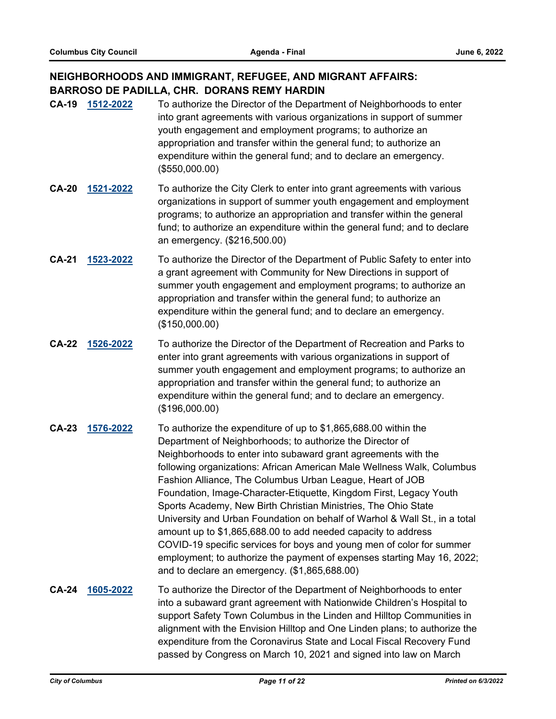# **NEIGHBORHOODS AND IMMIGRANT, REFUGEE, AND MIGRANT AFFAIRS: BARROSO DE PADILLA, CHR. DORANS REMY HARDIN**

- **CA-19 [1512-2022](http://columbus.legistar.com/gateway.aspx?m=l&id=/matter.aspx?key=123030)** To authorize the Director of the Department of Neighborhoods to enter into grant agreements with various organizations in support of summer youth engagement and employment programs; to authorize an appropriation and transfer within the general fund; to authorize an expenditure within the general fund; and to declare an emergency. (\$550,000.00)
- **CA-20 [1521-2022](http://columbus.legistar.com/gateway.aspx?m=l&id=/matter.aspx?key=123039)** To authorize the City Clerk to enter into grant agreements with various organizations in support of summer youth engagement and employment programs; to authorize an appropriation and transfer within the general fund; to authorize an expenditure within the general fund; and to declare an emergency. (\$216,500.00)
- **CA-21 [1523-2022](http://columbus.legistar.com/gateway.aspx?m=l&id=/matter.aspx?key=123041)** To authorize the Director of the Department of Public Safety to enter into a grant agreement with Community for New Directions in support of summer youth engagement and employment programs; to authorize an appropriation and transfer within the general fund; to authorize an expenditure within the general fund; and to declare an emergency. (\$150,000.00)
- **CA-22 [1526-2022](http://columbus.legistar.com/gateway.aspx?m=l&id=/matter.aspx?key=123044)** To authorize the Director of the Department of Recreation and Parks to enter into grant agreements with various organizations in support of summer youth engagement and employment programs; to authorize an appropriation and transfer within the general fund; to authorize an expenditure within the general fund; and to declare an emergency. (\$196,000.00)
- **CA-23 [1576-2022](http://columbus.legistar.com/gateway.aspx?m=l&id=/matter.aspx?key=123094)** To authorize the expenditure of up to \$1,865,688.00 within the Department of Neighborhoods; to authorize the Director of Neighborhoods to enter into subaward grant agreements with the following organizations: African American Male Wellness Walk, Columbus Fashion Alliance, The Columbus Urban League, Heart of JOB Foundation, Image-Character-Etiquette, Kingdom First, Legacy Youth Sports Academy, New Birth Christian Ministries, The Ohio State University and Urban Foundation on behalf of Warhol & Wall St., in a total amount up to \$1,865,688.00 to add needed capacity to address COVID-19 specific services for boys and young men of color for summer employment; to authorize the payment of expenses starting May 16, 2022; and to declare an emergency. (\$1,865,688.00)
- **CA-24 [1605-2022](http://columbus.legistar.com/gateway.aspx?m=l&id=/matter.aspx?key=123125)** To authorize the Director of the Department of Neighborhoods to enter into a subaward grant agreement with Nationwide Children's Hospital to support Safety Town Columbus in the Linden and Hilltop Communities in alignment with the Envision Hilltop and One Linden plans; to authorize the expenditure from the Coronavirus State and Local Fiscal Recovery Fund passed by Congress on March 10, 2021 and signed into law on March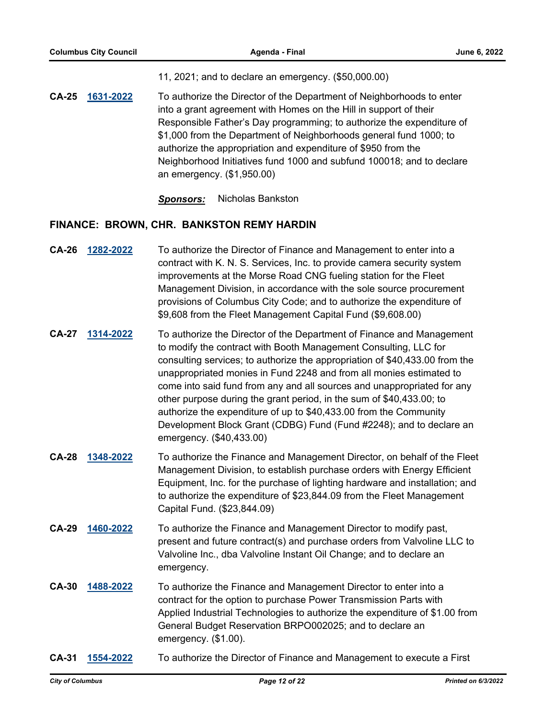11, 2021; and to declare an emergency. (\$50,000.00)

**CA-25 [1631-2022](http://columbus.legistar.com/gateway.aspx?m=l&id=/matter.aspx?key=123151)** To authorize the Director of the Department of Neighborhoods to enter into a grant agreement with Homes on the Hill in support of their Responsible Father's Day programming; to authorize the expenditure of \$1,000 from the Department of Neighborhoods general fund 1000; to authorize the appropriation and expenditure of \$950 from the Neighborhood Initiatives fund 1000 and subfund 100018; and to declare an emergency. (\$1,950.00)

*Sponsors:* Nicholas Bankston

### **FINANCE: BROWN, CHR. BANKSTON REMY HARDIN**

- **CA-26 [1282-2022](http://columbus.legistar.com/gateway.aspx?m=l&id=/matter.aspx?key=122797)** To authorize the Director of Finance and Management to enter into a contract with K. N. S. Services, Inc. to provide camera security system improvements at the Morse Road CNG fueling station for the Fleet Management Division, in accordance with the sole source procurement provisions of Columbus City Code; and to authorize the expenditure of \$9,608 from the Fleet Management Capital Fund (\$9,608.00)
- **CA-27 [1314-2022](http://columbus.legistar.com/gateway.aspx?m=l&id=/matter.aspx?key=122829)** To authorize the Director of the Department of Finance and Management to modify the contract with Booth Management Consulting, LLC for consulting services; to authorize the appropriation of \$40,433.00 from the unappropriated monies in Fund 2248 and from all monies estimated to come into said fund from any and all sources and unappropriated for any other purpose during the grant period, in the sum of \$40,433.00; to authorize the expenditure of up to \$40,433.00 from the Community Development Block Grant (CDBG) Fund (Fund #2248); and to declare an emergency. (\$40,433.00)
- **CA-28 [1348-2022](http://columbus.legistar.com/gateway.aspx?m=l&id=/matter.aspx?key=122864)** To authorize the Finance and Management Director, on behalf of the Fleet Management Division, to establish purchase orders with Energy Efficient Equipment, Inc. for the purchase of lighting hardware and installation; and to authorize the expenditure of \$23,844.09 from the Fleet Management Capital Fund. (\$23,844.09)
- **CA-29 [1460-2022](http://columbus.legistar.com/gateway.aspx?m=l&id=/matter.aspx?key=122977)** To authorize the Finance and Management Director to modify past, present and future contract(s) and purchase orders from Valvoline LLC to Valvoline Inc., dba Valvoline Instant Oil Change; and to declare an emergency.
- **CA-30 [1488-2022](http://columbus.legistar.com/gateway.aspx?m=l&id=/matter.aspx?key=123006)** To authorize the Finance and Management Director to enter into a contract for the option to purchase Power Transmission Parts with Applied Industrial Technologies to authorize the expenditure of \$1.00 from General Budget Reservation BRPO002025; and to declare an emergency. (\$1.00).
- **CA-31 [1554-2022](http://columbus.legistar.com/gateway.aspx?m=l&id=/matter.aspx?key=123072)** To authorize the Director of Finance and Management to execute a First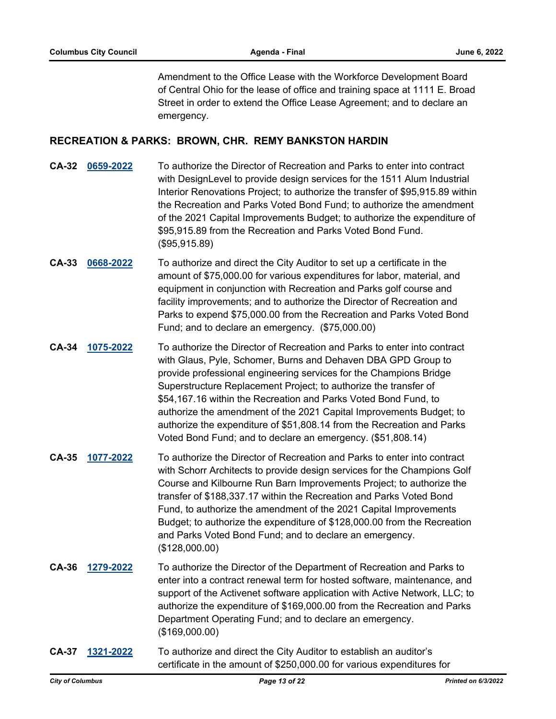Amendment to the Office Lease with the Workforce Development Board of Central Ohio for the lease of office and training space at 1111 E. Broad Street in order to extend the Office Lease Agreement; and to declare an emergency.

#### **RECREATION & PARKS: BROWN, CHR. REMY BANKSTON HARDIN**

- **CA-32 [0659-2022](http://columbus.legistar.com/gateway.aspx?m=l&id=/matter.aspx?key=122171)** To authorize the Director of Recreation and Parks to enter into contract with DesignLevel to provide design services for the 1511 Alum Industrial Interior Renovations Project; to authorize the transfer of \$95,915.89 within the Recreation and Parks Voted Bond Fund; to authorize the amendment of the 2021 Capital Improvements Budget; to authorize the expenditure of \$95,915.89 from the Recreation and Parks Voted Bond Fund. (\$95,915.89)
- **CA-33 [0668-2022](http://columbus.legistar.com/gateway.aspx?m=l&id=/matter.aspx?key=122180)** To authorize and direct the City Auditor to set up a certificate in the amount of \$75,000.00 for various expenditures for labor, material, and equipment in conjunction with Recreation and Parks golf course and facility improvements; and to authorize the Director of Recreation and Parks to expend \$75,000.00 from the Recreation and Parks Voted Bond Fund; and to declare an emergency. (\$75,000.00)
- **CA-34 [1075-2022](http://columbus.legistar.com/gateway.aspx?m=l&id=/matter.aspx?key=122587)** To authorize the Director of Recreation and Parks to enter into contract with Glaus, Pyle, Schomer, Burns and Dehaven DBA GPD Group to provide professional engineering services for the Champions Bridge Superstructure Replacement Project; to authorize the transfer of \$54,167.16 within the Recreation and Parks Voted Bond Fund, to authorize the amendment of the 2021 Capital Improvements Budget; to authorize the expenditure of \$51,808.14 from the Recreation and Parks Voted Bond Fund; and to declare an emergency. (\$51,808.14)
- **CA-35 [1077-2022](http://columbus.legistar.com/gateway.aspx?m=l&id=/matter.aspx?key=122590)** To authorize the Director of Recreation and Parks to enter into contract with Schorr Architects to provide design services for the Champions Golf Course and Kilbourne Run Barn Improvements Project; to authorize the transfer of \$188,337.17 within the Recreation and Parks Voted Bond Fund, to authorize the amendment of the 2021 Capital Improvements Budget; to authorize the expenditure of \$128,000.00 from the Recreation and Parks Voted Bond Fund; and to declare an emergency. (\$128,000.00)
- **CA-36 [1279-2022](http://columbus.legistar.com/gateway.aspx?m=l&id=/matter.aspx?key=122794)** To authorize the Director of the Department of Recreation and Parks to enter into a contract renewal term for hosted software, maintenance, and support of the Activenet software application with Active Network, LLC; to authorize the expenditure of \$169,000.00 from the Recreation and Parks Department Operating Fund; and to declare an emergency. (\$169,000.00)
- **CA-37 [1321-2022](http://columbus.legistar.com/gateway.aspx?m=l&id=/matter.aspx?key=122837)** To authorize and direct the City Auditor to establish an auditor's certificate in the amount of \$250,000.00 for various expenditures for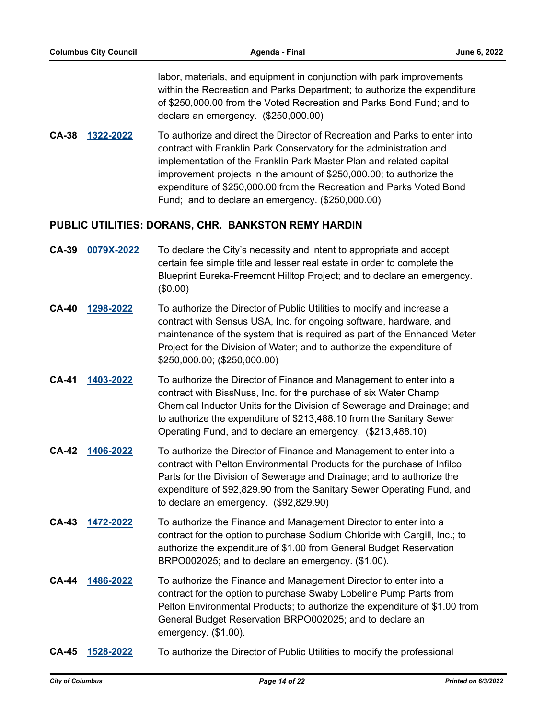labor, materials, and equipment in conjunction with park improvements within the Recreation and Parks Department; to authorize the expenditure of \$250,000.00 from the Voted Recreation and Parks Bond Fund; and to declare an emergency. (\$250,000.00)

**CA-38 [1322-2022](http://columbus.legistar.com/gateway.aspx?m=l&id=/matter.aspx?key=122838)** To authorize and direct the Director of Recreation and Parks to enter into contract with Franklin Park Conservatory for the administration and implementation of the Franklin Park Master Plan and related capital improvement projects in the amount of \$250,000.00; to authorize the expenditure of \$250,000.00 from the Recreation and Parks Voted Bond Fund; and to declare an emergency. (\$250,000.00)

### **PUBLIC UTILITIES: DORANS, CHR. BANKSTON REMY HARDIN**

- **CA-39 [0079X-2022](http://columbus.legistar.com/gateway.aspx?m=l&id=/matter.aspx?key=122832)** To declare the City's necessity and intent to appropriate and accept certain fee simple title and lesser real estate in order to complete the Blueprint Eureka-Freemont Hilltop Project; and to declare an emergency. (\$0.00)
- **CA-40 [1298-2022](http://columbus.legistar.com/gateway.aspx?m=l&id=/matter.aspx?key=122813)** To authorize the Director of Public Utilities to modify and increase a contract with Sensus USA, Inc. for ongoing software, hardware, and maintenance of the system that is required as part of the Enhanced Meter Project for the Division of Water; and to authorize the expenditure of \$250,000.00; (\$250,000.00)
- **CA-41 [1403-2022](http://columbus.legistar.com/gateway.aspx?m=l&id=/matter.aspx?key=122920)** To authorize the Director of Finance and Management to enter into a contract with BissNuss, Inc. for the purchase of six Water Champ Chemical Inductor Units for the Division of Sewerage and Drainage; and to authorize the expenditure of \$213,488.10 from the Sanitary Sewer Operating Fund, and to declare an emergency. (\$213,488.10)
- **CA-42 [1406-2022](http://columbus.legistar.com/gateway.aspx?m=l&id=/matter.aspx?key=122923)** To authorize the Director of Finance and Management to enter into a contract with Pelton Environmental Products for the purchase of Infilco Parts for the Division of Sewerage and Drainage; and to authorize the expenditure of \$92,829.90 from the Sanitary Sewer Operating Fund, and to declare an emergency. (\$92,829.90)
- **CA-43 [1472-2022](http://columbus.legistar.com/gateway.aspx?m=l&id=/matter.aspx?key=122989)** To authorize the Finance and Management Director to enter into a contract for the option to purchase Sodium Chloride with Cargill, Inc.; to authorize the expenditure of \$1.00 from General Budget Reservation BRPO002025; and to declare an emergency. (\$1.00).
- **CA-44 [1486-2022](http://columbus.legistar.com/gateway.aspx?m=l&id=/matter.aspx?key=123004)** To authorize the Finance and Management Director to enter into a contract for the option to purchase Swaby Lobeline Pump Parts from Pelton Environmental Products; to authorize the expenditure of \$1.00 from General Budget Reservation BRPO002025; and to declare an emergency. (\$1.00).
- **CA-45 [1528-2022](http://columbus.legistar.com/gateway.aspx?m=l&id=/matter.aspx?key=123046)** To authorize the Director of Public Utilities to modify the professional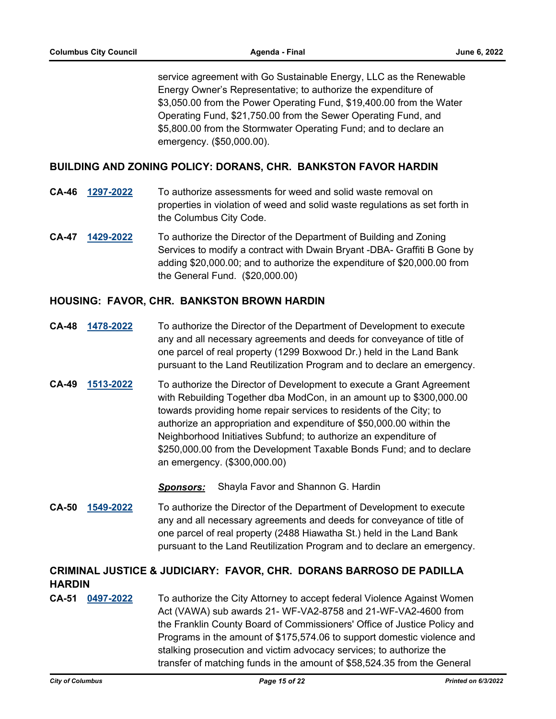service agreement with Go Sustainable Energy, LLC as the Renewable Energy Owner's Representative; to authorize the expenditure of \$3,050.00 from the Power Operating Fund, \$19,400.00 from the Water Operating Fund, \$21,750.00 from the Sewer Operating Fund, and \$5,800.00 from the Stormwater Operating Fund; and to declare an emergency. (\$50,000.00).

### **BUILDING AND ZONING POLICY: DORANS, CHR. BANKSTON FAVOR HARDIN**

- **CA-46 [1297-2022](http://columbus.legistar.com/gateway.aspx?m=l&id=/matter.aspx?key=122812)** To authorize assessments for weed and solid waste removal on properties in violation of weed and solid waste regulations as set forth in the Columbus City Code.
- **CA-47 [1429-2022](http://columbus.legistar.com/gateway.aspx?m=l&id=/matter.aspx?key=122946)** To authorize the Director of the Department of Building and Zoning Services to modify a contract with Dwain Bryant -DBA- Graffiti B Gone by adding \$20,000.00; and to authorize the expenditure of \$20,000.00 from the General Fund. (\$20,000.00)

### **HOUSING: FAVOR, CHR. BANKSTON BROWN HARDIN**

- **CA-48 [1478-2022](http://columbus.legistar.com/gateway.aspx?m=l&id=/matter.aspx?key=122996)** To authorize the Director of the Department of Development to execute any and all necessary agreements and deeds for conveyance of title of one parcel of real property (1299 Boxwood Dr.) held in the Land Bank pursuant to the Land Reutilization Program and to declare an emergency.
- **CA-49 [1513-2022](http://columbus.legistar.com/gateway.aspx?m=l&id=/matter.aspx?key=123031)** To authorize the Director of Development to execute a Grant Agreement with Rebuilding Together dba ModCon, in an amount up to \$300,000.00 towards providing home repair services to residents of the City; to authorize an appropriation and expenditure of \$50,000.00 within the Neighborhood Initiatives Subfund; to authorize an expenditure of \$250,000.00 from the Development Taxable Bonds Fund; and to declare an emergency. (\$300,000.00)

*Sponsors:* Shayla Favor and Shannon G. Hardin

**CA-50 [1549-2022](http://columbus.legistar.com/gateway.aspx?m=l&id=/matter.aspx?key=123067)** To authorize the Director of the Department of Development to execute any and all necessary agreements and deeds for conveyance of title of one parcel of real property (2488 Hiawatha St.) held in the Land Bank pursuant to the Land Reutilization Program and to declare an emergency.

# **CRIMINAL JUSTICE & JUDICIARY: FAVOR, CHR. DORANS BARROSO DE PADILLA HARDIN**

**CA-51 [0497-2022](http://columbus.legistar.com/gateway.aspx?m=l&id=/matter.aspx?key=122009)** To authorize the City Attorney to accept federal Violence Against Women Act (VAWA) sub awards 21- WF-VA2-8758 and 21-WF-VA2-4600 from the Franklin County Board of Commissioners' Office of Justice Policy and Programs in the amount of \$175,574.06 to support domestic violence and stalking prosecution and victim advocacy services; to authorize the transfer of matching funds in the amount of \$58,524.35 from the General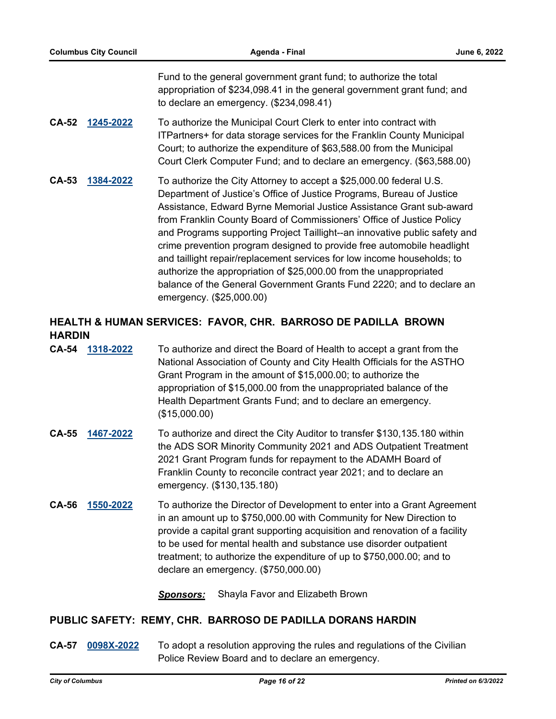Fund to the general government grant fund; to authorize the total appropriation of \$234,098.41 in the general government grant fund; and to declare an emergency. (\$234,098.41)

- **CA-52 [1245-2022](http://columbus.legistar.com/gateway.aspx?m=l&id=/matter.aspx?key=122760)** To authorize the Municipal Court Clerk to enter into contract with ITPartners+ for data storage services for the Franklin County Municipal Court; to authorize the expenditure of \$63,588.00 from the Municipal Court Clerk Computer Fund; and to declare an emergency. (\$63,588.00)
- **CA-53 [1384-2022](http://columbus.legistar.com/gateway.aspx?m=l&id=/matter.aspx?key=122900)** To authorize the City Attorney to accept a \$25,000.00 federal U.S. Department of Justice's Office of Justice Programs, Bureau of Justice Assistance, Edward Byrne Memorial Justice Assistance Grant sub-award from Franklin County Board of Commissioners' Office of Justice Policy and Programs supporting Project Taillight--an innovative public safety and crime prevention program designed to provide free automobile headlight and taillight repair/replacement services for low income households; to authorize the appropriation of \$25,000.00 from the unappropriated balance of the General Government Grants Fund 2220; and to declare an emergency. (\$25,000.00)

# **HEALTH & HUMAN SERVICES: FAVOR, CHR. BARROSO DE PADILLA BROWN HARDIN**

- **CA-54 [1318-2022](http://columbus.legistar.com/gateway.aspx?m=l&id=/matter.aspx?key=122834)** To authorize and direct the Board of Health to accept a grant from the National Association of County and City Health Officials for the ASTHO Grant Program in the amount of \$15,000.00; to authorize the appropriation of \$15,000.00 from the unappropriated balance of the Health Department Grants Fund; and to declare an emergency. (\$15,000.00)
- **CA-55 [1467-2022](http://columbus.legistar.com/gateway.aspx?m=l&id=/matter.aspx?key=122984)** To authorize and direct the City Auditor to transfer \$130,135.180 within the ADS SOR Minority Community 2021 and ADS Outpatient Treatment 2021 Grant Program funds for repayment to the ADAMH Board of Franklin County to reconcile contract year 2021; and to declare an emergency. (\$130,135.180)
- **CA-56 [1550-2022](http://columbus.legistar.com/gateway.aspx?m=l&id=/matter.aspx?key=123068)** To authorize the Director of Development to enter into a Grant Agreement in an amount up to \$750,000.00 with Community for New Direction to provide a capital grant supporting acquisition and renovation of a facility to be used for mental health and substance use disorder outpatient treatment; to authorize the expenditure of up to \$750,000.00; and to declare an emergency. (\$750,000.00)

*Sponsors:* Shayla Favor and Elizabeth Brown

### **PUBLIC SAFETY: REMY, CHR. BARROSO DE PADILLA DORANS HARDIN**

**CA-57 [0098X-2022](http://columbus.legistar.com/gateway.aspx?m=l&id=/matter.aspx?key=123104)** To adopt a resolution approving the rules and regulations of the Civilian Police Review Board and to declare an emergency.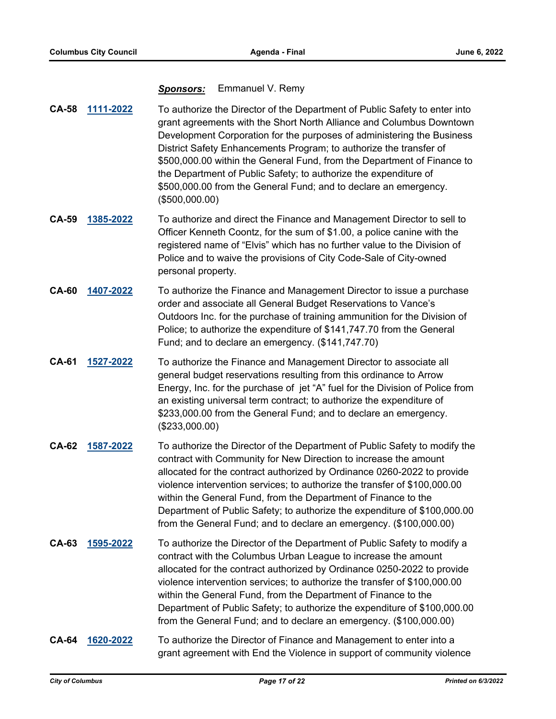#### *Sponsors:* Emmanuel V. Remy

- **CA-58 [1111-2022](http://columbus.legistar.com/gateway.aspx?m=l&id=/matter.aspx?key=122625)** To authorize the Director of the Department of Public Safety to enter into grant agreements with the Short North Alliance and Columbus Downtown Development Corporation for the purposes of administering the Business District Safety Enhancements Program; to authorize the transfer of \$500,000.00 within the General Fund, from the Department of Finance to the Department of Public Safety; to authorize the expenditure of \$500,000.00 from the General Fund; and to declare an emergency. (\$500,000.00)
- **CA-59 [1385-2022](http://columbus.legistar.com/gateway.aspx?m=l&id=/matter.aspx?key=122901)** To authorize and direct the Finance and Management Director to sell to Officer Kenneth Coontz, for the sum of \$1.00, a police canine with the registered name of "Elvis" which has no further value to the Division of Police and to waive the provisions of City Code-Sale of City-owned personal property.
- **CA-60 [1407-2022](http://columbus.legistar.com/gateway.aspx?m=l&id=/matter.aspx?key=122924)** To authorize the Finance and Management Director to issue a purchase order and associate all General Budget Reservations to Vance's Outdoors Inc. for the purchase of training ammunition for the Division of Police; to authorize the expenditure of \$141,747.70 from the General Fund; and to declare an emergency. (\$141,747.70)
- **CA-61 [1527-2022](http://columbus.legistar.com/gateway.aspx?m=l&id=/matter.aspx?key=123045)** To authorize the Finance and Management Director to associate all general budget reservations resulting from this ordinance to Arrow Energy, Inc. for the purchase of jet "A" fuel for the Division of Police from an existing universal term contract; to authorize the expenditure of \$233,000.00 from the General Fund; and to declare an emergency. (\$233,000.00)
- **CA-62 [1587-2022](http://columbus.legistar.com/gateway.aspx?m=l&id=/matter.aspx?key=123107)** To authorize the Director of the Department of Public Safety to modify the contract with Community for New Direction to increase the amount allocated for the contract authorized by Ordinance 0260-2022 to provide violence intervention services; to authorize the transfer of \$100,000.00 within the General Fund, from the Department of Finance to the Department of Public Safety; to authorize the expenditure of \$100,000.00 from the General Fund; and to declare an emergency. (\$100,000.00)
- **CA-63 [1595-2022](http://columbus.legistar.com/gateway.aspx?m=l&id=/matter.aspx?key=123115)** To authorize the Director of the Department of Public Safety to modify a contract with the Columbus Urban League to increase the amount allocated for the contract authorized by Ordinance 0250-2022 to provide violence intervention services; to authorize the transfer of \$100,000.00 within the General Fund, from the Department of Finance to the Department of Public Safety; to authorize the expenditure of \$100,000.00 from the General Fund; and to declare an emergency. (\$100,000.00)
- **CA-64 [1620-2022](http://columbus.legistar.com/gateway.aspx?m=l&id=/matter.aspx?key=123140)** To authorize the Director of Finance and Management to enter into a grant agreement with End the Violence in support of community violence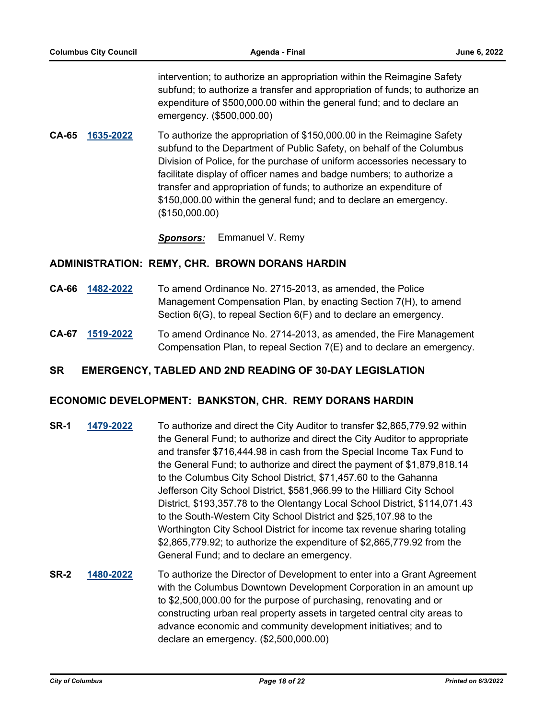intervention; to authorize an appropriation within the Reimagine Safety subfund; to authorize a transfer and appropriation of funds; to authorize an expenditure of \$500,000.00 within the general fund; and to declare an emergency. (\$500,000.00)

- **CA-65 [1635-2022](http://columbus.legistar.com/gateway.aspx?m=l&id=/matter.aspx?key=123155)** To authorize the appropriation of \$150,000.00 in the Reimagine Safety subfund to the Department of Public Safety, on behalf of the Columbus Division of Police, for the purchase of uniform accessories necessary to facilitate display of officer names and badge numbers; to authorize a transfer and appropriation of funds; to authorize an expenditure of \$150,000.00 within the general fund; and to declare an emergency. (\$150,000.00)
	- *Sponsors:* Emmanuel V. Remy

#### **ADMINISTRATION: REMY, CHR. BROWN DORANS HARDIN**

- **CA-66 [1482-2022](http://columbus.legistar.com/gateway.aspx?m=l&id=/matter.aspx?key=123000)** To amend Ordinance No. 2715-2013, as amended, the Police Management Compensation Plan, by enacting Section 7(H), to amend Section 6(G), to repeal Section 6(F) and to declare an emergency.
- **CA-67 [1519-2022](http://columbus.legistar.com/gateway.aspx?m=l&id=/matter.aspx?key=123037)** To amend Ordinance No. 2714-2013, as amended, the Fire Management Compensation Plan, to repeal Section 7(E) and to declare an emergency.

### **SR EMERGENCY, TABLED AND 2ND READING OF 30-DAY LEGISLATION**

### **ECONOMIC DEVELOPMENT: BANKSTON, CHR. REMY DORANS HARDIN**

- **SR-1 [1479-2022](http://columbus.legistar.com/gateway.aspx?m=l&id=/matter.aspx?key=122997)** To authorize and direct the City Auditor to transfer \$2,865,779.92 within the General Fund; to authorize and direct the City Auditor to appropriate and transfer \$716,444.98 in cash from the Special Income Tax Fund to the General Fund; to authorize and direct the payment of \$1,879,818.14 to the Columbus City School District, \$71,457.60 to the Gahanna Jefferson City School District, \$581,966.99 to the Hilliard City School District, \$193,357.78 to the Olentangy Local School District, \$114,071.43 to the South-Western City School District and \$25,107.98 to the Worthington City School District for income tax revenue sharing totaling \$2,865,779.92; to authorize the expenditure of \$2,865,779.92 from the General Fund; and to declare an emergency.
- **SR-2 [1480-2022](http://columbus.legistar.com/gateway.aspx?m=l&id=/matter.aspx?key=122998)** To authorize the Director of Development to enter into a Grant Agreement with the Columbus Downtown Development Corporation in an amount up to \$2,500,000.00 for the purpose of purchasing, renovating and or constructing urban real property assets in targeted central city areas to advance economic and community development initiatives; and to declare an emergency. (\$2,500,000.00)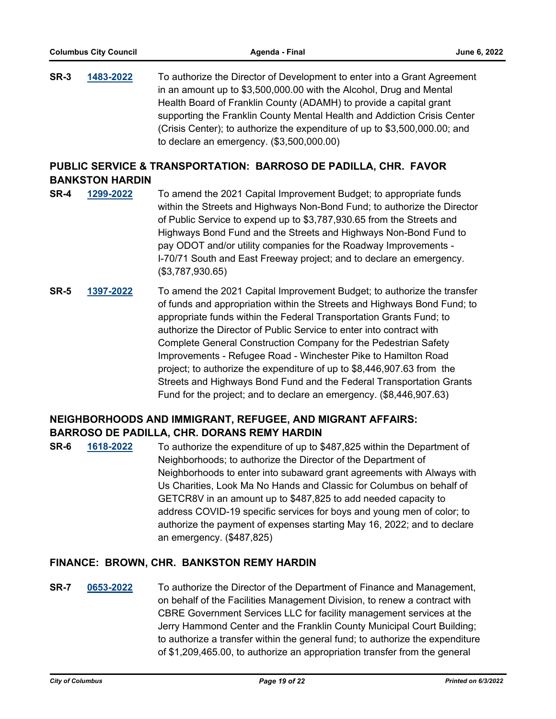**SR-3 [1483-2022](http://columbus.legistar.com/gateway.aspx?m=l&id=/matter.aspx?key=123001)** To authorize the Director of Development to enter into a Grant Agreement in an amount up to \$3,500,000.00 with the Alcohol, Drug and Mental Health Board of Franklin County (ADAMH) to provide a capital grant supporting the Franklin County Mental Health and Addiction Crisis Center (Crisis Center); to authorize the expenditure of up to \$3,500,000.00; and to declare an emergency. (\$3,500,000.00)

# **PUBLIC SERVICE & TRANSPORTATION: BARROSO DE PADILLA, CHR. FAVOR BANKSTON HARDIN**

- **SR-4 [1299-2022](http://columbus.legistar.com/gateway.aspx?m=l&id=/matter.aspx?key=122814)** To amend the 2021 Capital Improvement Budget; to appropriate funds within the Streets and Highways Non-Bond Fund; to authorize the Director of Public Service to expend up to \$3,787,930.65 from the Streets and Highways Bond Fund and the Streets and Highways Non-Bond Fund to pay ODOT and/or utility companies for the Roadway Improvements - I-70/71 South and East Freeway project; and to declare an emergency. (\$3,787,930.65)
- **SR-5 [1397-2022](http://columbus.legistar.com/gateway.aspx?m=l&id=/matter.aspx?key=122914)** To amend the 2021 Capital Improvement Budget; to authorize the transfer of funds and appropriation within the Streets and Highways Bond Fund; to appropriate funds within the Federal Transportation Grants Fund; to authorize the Director of Public Service to enter into contract with Complete General Construction Company for the Pedestrian Safety Improvements - Refugee Road - Winchester Pike to Hamilton Road project; to authorize the expenditure of up to \$8,446,907.63 from the Streets and Highways Bond Fund and the Federal Transportation Grants Fund for the project; and to declare an emergency. (\$8,446,907.63)

# **NEIGHBORHOODS AND IMMIGRANT, REFUGEE, AND MIGRANT AFFAIRS: BARROSO DE PADILLA, CHR. DORANS REMY HARDIN**

**SR-6 [1618-2022](http://columbus.legistar.com/gateway.aspx?m=l&id=/matter.aspx?key=123138)** To authorize the expenditure of up to \$487,825 within the Department of Neighborhoods; to authorize the Director of the Department of Neighborhoods to enter into subaward grant agreements with Always with Us Charities, Look Ma No Hands and Classic for Columbus on behalf of GETCR8V in an amount up to \$487,825 to add needed capacity to address COVID-19 specific services for boys and young men of color; to authorize the payment of expenses starting May 16, 2022; and to declare an emergency. (\$487,825)

# **FINANCE: BROWN, CHR. BANKSTON REMY HARDIN**

**SR-7 [0653-2022](http://columbus.legistar.com/gateway.aspx?m=l&id=/matter.aspx?key=122165)** To authorize the Director of the Department of Finance and Management, on behalf of the Facilities Management Division, to renew a contract with CBRE Government Services LLC for facility management services at the Jerry Hammond Center and the Franklin County Municipal Court Building; to authorize a transfer within the general fund; to authorize the expenditure of \$1,209,465.00, to authorize an appropriation transfer from the general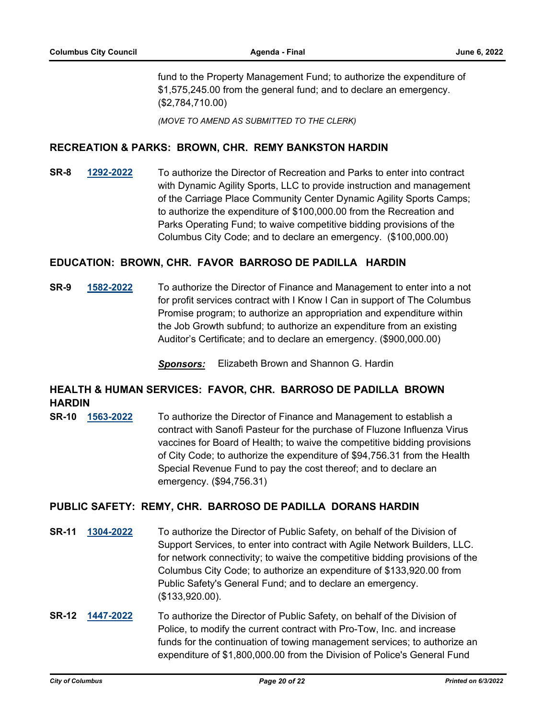fund to the Property Management Fund; to authorize the expenditure of \$1,575,245.00 from the general fund; and to declare an emergency. (\$2,784,710.00)

*(MOVE TO AMEND AS SUBMITTED TO THE CLERK)*

### **RECREATION & PARKS: BROWN, CHR. REMY BANKSTON HARDIN**

**SR-8 [1292-2022](http://columbus.legistar.com/gateway.aspx?m=l&id=/matter.aspx?key=122807)** To authorize the Director of Recreation and Parks to enter into contract with Dynamic Agility Sports, LLC to provide instruction and management of the Carriage Place Community Center Dynamic Agility Sports Camps; to authorize the expenditure of \$100,000.00 from the Recreation and Parks Operating Fund; to waive competitive bidding provisions of the Columbus City Code; and to declare an emergency. (\$100,000.00)

### **EDUCATION: BROWN, CHR. FAVOR BARROSO DE PADILLA HARDIN**

**SR-9 [1582-2022](http://columbus.legistar.com/gateway.aspx?m=l&id=/matter.aspx?key=123100)** To authorize the Director of Finance and Management to enter into a not for profit services contract with I Know I Can in support of The Columbus Promise program; to authorize an appropriation and expenditure within the Job Growth subfund; to authorize an expenditure from an existing Auditor's Certificate; and to declare an emergency. (\$900,000.00)

*Sponsors:* Elizabeth Brown and Shannon G. Hardin

# **HEALTH & HUMAN SERVICES: FAVOR, CHR. BARROSO DE PADILLA BROWN HARDIN**

**SR-10 [1563-2022](http://columbus.legistar.com/gateway.aspx?m=l&id=/matter.aspx?key=123081)** To authorize the Director of Finance and Management to establish a contract with Sanofi Pasteur for the purchase of Fluzone Influenza Virus vaccines for Board of Health; to waive the competitive bidding provisions of City Code; to authorize the expenditure of \$94,756.31 from the Health Special Revenue Fund to pay the cost thereof; and to declare an emergency. (\$94,756.31)

### **PUBLIC SAFETY: REMY, CHR. BARROSO DE PADILLA DORANS HARDIN**

- **SR-11 [1304-2022](http://columbus.legistar.com/gateway.aspx?m=l&id=/matter.aspx?key=122819)** To authorize the Director of Public Safety, on behalf of the Division of Support Services, to enter into contract with Agile Network Builders, LLC. for network connectivity; to waive the competitive bidding provisions of the Columbus City Code; to authorize an expenditure of \$133,920.00 from Public Safety's General Fund; and to declare an emergency. (\$133,920.00).
- **SR-12 [1447-2022](http://columbus.legistar.com/gateway.aspx?m=l&id=/matter.aspx?key=122964)** To authorize the Director of Public Safety, on behalf of the Division of Police, to modify the current contract with Pro-Tow, Inc. and increase funds for the continuation of towing management services; to authorize an expenditure of \$1,800,000.00 from the Division of Police's General Fund